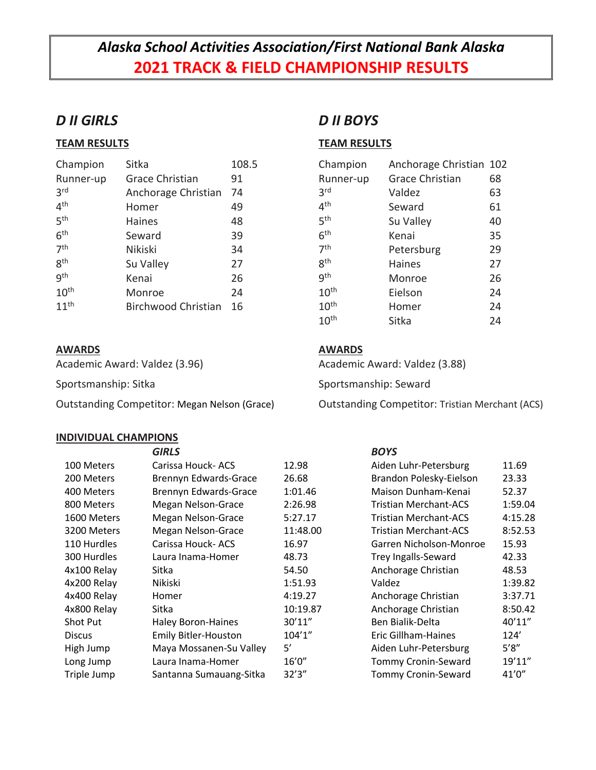# *Alaska School Activities Association/First National Bank Alaska* **2021 TRACK & FIELD CHAMPIONSHIP RESULTS**

## *D II GIRLS*

### **TEAM RESULTS**

| Champion         | Sitka                      | 108.5 |
|------------------|----------------------------|-------|
| Runner-up        | <b>Grace Christian</b>     | 91    |
| 3 <sup>rd</sup>  | Anchorage Christian        | 74    |
| 4 <sup>th</sup>  | Homer                      | 49    |
| 5 <sup>th</sup>  | <b>Haines</b>              | 48    |
| 6 <sup>th</sup>  | Seward                     | 39    |
| 7 <sup>th</sup>  | Nikiski                    | 34    |
| gth              | Su Valley                  | 27    |
| gth              | Kenai                      | 26    |
| 10 <sup>th</sup> | Monroe                     | 24    |
| 11 <sup>th</sup> | <b>Birchwood Christian</b> | 16    |

### **AWARDS**

Academic Award: Valdez (3.96)

Sportsmanship: Sitka

Outstanding Competitor: Megan Nelson (Grace)

#### **INDIVIDUAL CHAMPIONS**

# *D II BOYS*

### **TEAM RESULTS**

| Champion         | Anchorage Christian 102 |    |
|------------------|-------------------------|----|
| Runner-up        | <b>Grace Christian</b>  | 68 |
| 3 <sup>rd</sup>  | Valdez                  | 63 |
| 4 <sup>th</sup>  | Seward                  | 61 |
| ςth              | Su Valley               | 40 |
| 6 <sup>th</sup>  | Kenai                   | 35 |
| 7 <sup>th</sup>  | Petersburg              | 29 |
| <b>gth</b>       | <b>Haines</b>           | 27 |
| gth              | Monroe                  | 26 |
| 10 <sup>th</sup> | Eielson                 | 24 |
| 10 <sup>th</sup> | Homer                   | 24 |
| 10 <sup>th</sup> | Sitka                   | 24 |
|                  |                         |    |

### **AWARDS**

Academic Award: Valdez (3.88)

Sportsmanship: Seward

Outstanding Competitor: Tristian Merchant (ACS)

|               | <b>GIRLS</b>                 |          | <b>BOYS</b>                  |         |
|---------------|------------------------------|----------|------------------------------|---------|
| 100 Meters    | Carissa Houck-ACS            | 12.98    | Aiden Luhr-Petersburg        | 11.69   |
| 200 Meters    | Brennyn Edwards-Grace        | 26.68    | Brandon Polesky-Eielson      | 23.33   |
| 400 Meters    | <b>Brennyn Edwards-Grace</b> | 1:01.46  | Maison Dunham-Kenai          | 52.37   |
| 800 Meters    | Megan Nelson-Grace           | 2:26.98  | <b>Tristian Merchant-ACS</b> | 1:59.04 |
| 1600 Meters   | Megan Nelson-Grace           | 5:27.17  | Tristian Merchant-ACS        | 4:15.28 |
| 3200 Meters   | Megan Nelson-Grace           | 11:48.00 | Tristian Merchant-ACS        | 8:52.53 |
| 110 Hurdles   | Carissa Houck-ACS            | 16.97    | Garren Nicholson-Monroe      | 15.93   |
| 300 Hurdles   | Laura Inama-Homer            | 48.73    | Trey Ingalls-Seward          | 42.33   |
| 4x100 Relay   | Sitka                        | 54.50    | Anchorage Christian          | 48.53   |
| 4x200 Relay   | Nikiski                      | 1:51.93  | Valdez                       | 1:39.82 |
| 4x400 Relay   | Homer                        | 4:19.27  | Anchorage Christian          | 3:37.71 |
| 4x800 Relay   | Sitka                        | 10:19.87 | Anchorage Christian          | 8:50.42 |
| Shot Put      | <b>Haley Boron-Haines</b>    | 30'11''  | Ben Bialik-Delta             | 40'11"  |
| <b>Discus</b> | <b>Emily Bitler-Houston</b>  | 104'1''  | Eric Gillham-Haines          | 124'    |
| High Jump     | Maya Mossanen-Su Valley      | 5'       | Aiden Luhr-Petersburg        | 5'8''   |
| Long Jump     | Laura Inama-Homer            | 16'0''   | Tommy Cronin-Seward          | 19'11"  |
| Triple Jump   | Santanna Sumauang-Sitka      | 32'3''   | <b>Tommy Cronin-Seward</b>   | 41'0''  |